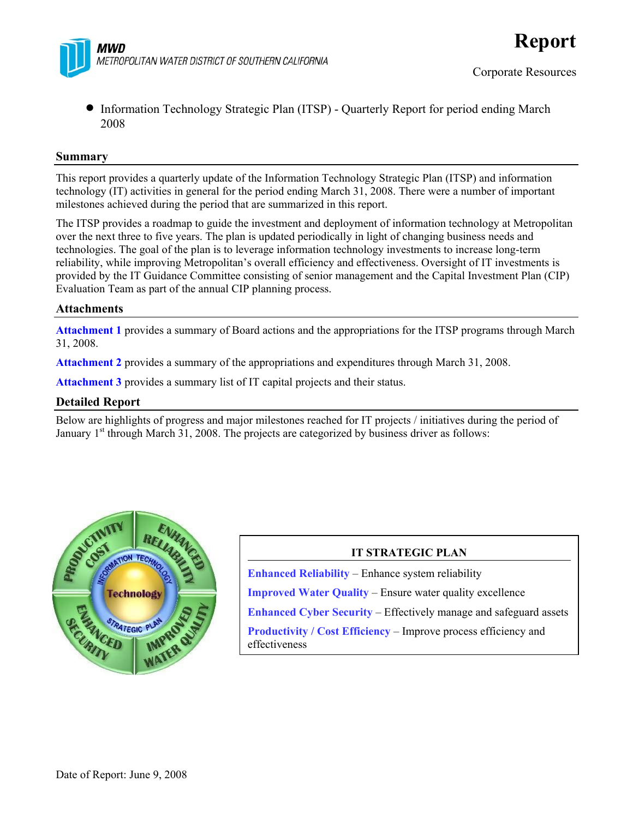

• Information Technology Strategic Plan (ITSP) - Quarterly Report for period ending March 2008

#### **Summary**

This report provides a quarterly update of the Information Technology Strategic Plan (ITSP) and information technology (IT) activities in general for the period ending March 31, 2008. There were a number of important milestones achieved during the period that are summarized in this report.

The ITSP provides a roadmap to guide the investment and deployment of information technology at Metropolitan over the next three to five years. The plan is updated periodically in light of changing business needs and technologies. The goal of the plan is to leverage information technology investments to increase long-term reliability, while improving Metropolitan's overall efficiency and effectiveness. Oversight of IT investments is provided by the IT Guidance Committee consisting of senior management and the Capital Investment Plan (CIP) Evaluation Team as part of the annual CIP planning process.

#### **Attachments**

**Attachment 1** provides a summary of Board actions and the appropriations for the ITSP programs through March 31, 2008.

**Attachment 2** provides a summary of the appropriations and expenditures through March 31, 2008.

**Attachment 3** provides a summary list of IT capital projects and their status.

#### **Detailed Report**

Below are highlights of progress and major milestones reached for IT projects / initiatives during the period of January  $1<sup>st</sup>$  through March 31, 2008. The projects are categorized by business driver as follows:



#### **IT STRATEGIC PLAN**

**Enhanced Reliability** – Enhance system reliability **Improved Water Quality** – Ensure water quality excellence **Enhanced Cyber Security** – Effectively manage and safeguard assets **Productivity / Cost Efficiency** – Improve process efficiency and effectiveness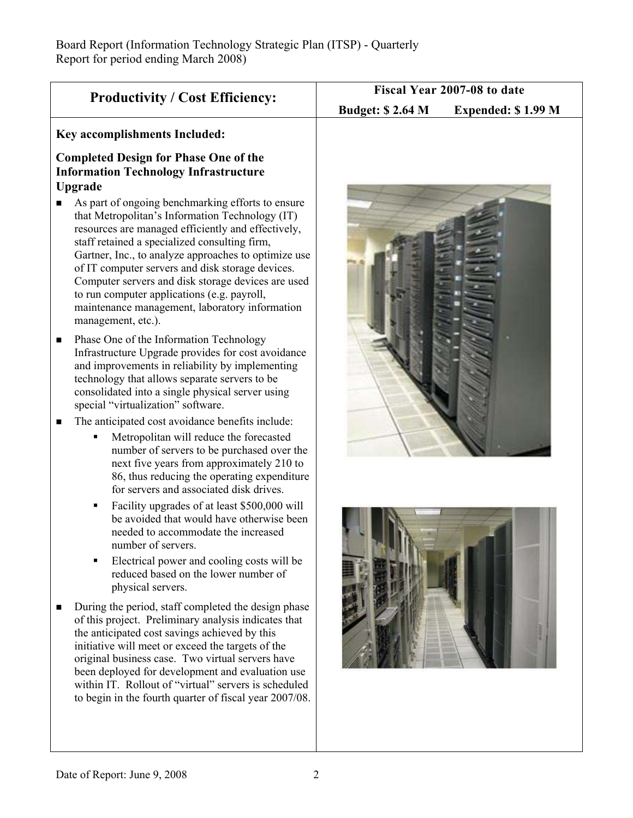| <b>Productivity / Cost Efficiency:</b>                                                                                                                                                                                                                                                                                                                                                                                                                                                                                                                                                                                                                                                                                                                                     | Fiscal Year 2007-08 to date                   |  |  |  |  |
|----------------------------------------------------------------------------------------------------------------------------------------------------------------------------------------------------------------------------------------------------------------------------------------------------------------------------------------------------------------------------------------------------------------------------------------------------------------------------------------------------------------------------------------------------------------------------------------------------------------------------------------------------------------------------------------------------------------------------------------------------------------------------|-----------------------------------------------|--|--|--|--|
|                                                                                                                                                                                                                                                                                                                                                                                                                                                                                                                                                                                                                                                                                                                                                                            | <b>Budget: \$2.64 M</b><br>Expended: \$1.99 M |  |  |  |  |
| <b>Key accomplishments Included:</b>                                                                                                                                                                                                                                                                                                                                                                                                                                                                                                                                                                                                                                                                                                                                       |                                               |  |  |  |  |
| <b>Completed Design for Phase One of the</b><br><b>Information Technology Infrastructure</b><br>Upgrade<br>As part of ongoing benchmarking efforts to ensure<br>■<br>that Metropolitan's Information Technology (IT)<br>resources are managed efficiently and effectively,<br>staff retained a specialized consulting firm,<br>Gartner, Inc., to analyze approaches to optimize use<br>of IT computer servers and disk storage devices.<br>Computer servers and disk storage devices are used<br>to run computer applications (e.g. payroll,<br>maintenance management, laboratory information<br>management, etc.).                                                                                                                                                       |                                               |  |  |  |  |
| Phase One of the Information Technology<br>п<br>Infrastructure Upgrade provides for cost avoidance<br>and improvements in reliability by implementing<br>technology that allows separate servers to be<br>consolidated into a single physical server using<br>special "virtualization" software.<br>The anticipated cost avoidance benefits include:<br>■<br>Metropolitan will reduce the forecasted<br>٠<br>number of servers to be purchased over the<br>next five years from approximately 210 to<br>86, thus reducing the operating expenditure                                                                                                                                                                                                                        |                                               |  |  |  |  |
| for servers and associated disk drives.<br>Facility upgrades of at least \$500,000 will<br>п<br>be avoided that would have otherwise been<br>needed to accommodate the increased<br>number of servers.<br>Electrical power and cooling costs will be<br>٠<br>reduced based on the lower number of<br>physical servers.<br>During the period, staff completed the design phase<br>■<br>of this project. Preliminary analysis indicates that<br>the anticipated cost savings achieved by this<br>initiative will meet or exceed the targets of the<br>original business case. Two virtual servers have<br>been deployed for development and evaluation use<br>within IT. Rollout of "virtual" servers is scheduled<br>to begin in the fourth quarter of fiscal year 2007/08. |                                               |  |  |  |  |
|                                                                                                                                                                                                                                                                                                                                                                                                                                                                                                                                                                                                                                                                                                                                                                            |                                               |  |  |  |  |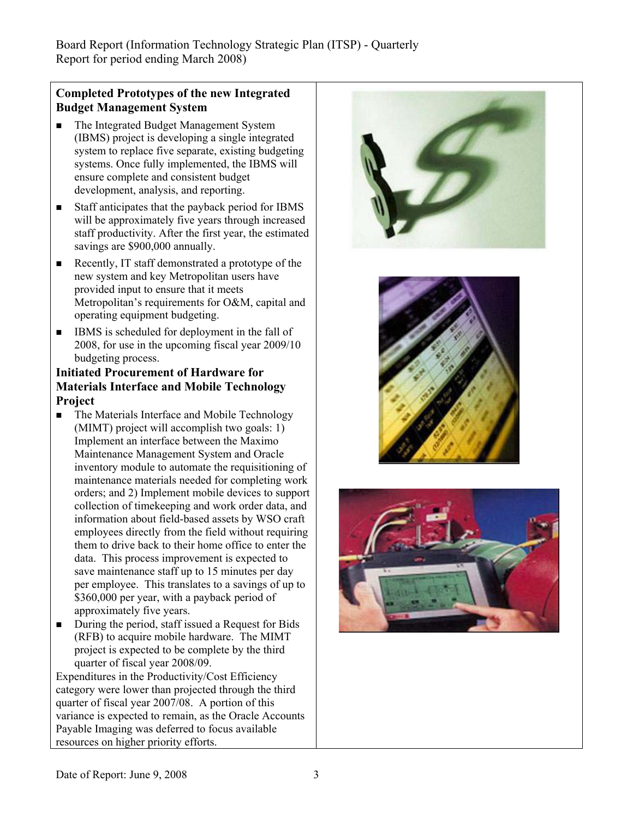# **Completed Prototypes of the new Integrated Budget Management System**

- The Integrated Budget Management System (IBMS) project is developing a single integrated system to replace five separate, existing budgeting systems. Once fully implemented, the IBMS will ensure complete and consistent budget development, analysis, and reporting.
- Staff anticipates that the payback period for IBMS will be approximately five years through increased staff productivity. After the first year, the estimated savings are \$900,000 annually.
- Recently, IT staff demonstrated a prototype of the new system and key Metropolitan users have provided input to ensure that it meets Metropolitan's requirements for O&M, capital and operating equipment budgeting.
- IBMS is scheduled for deployment in the fall of 2008, for use in the upcoming fiscal year 2009/10 budgeting process.

# **Initiated Procurement of Hardware for Materials Interface and Mobile Technology Project**

- The Materials Interface and Mobile Technology (MIMT) project will accomplish two goals: 1) Implement an interface between the Maximo Maintenance Management System and Oracle inventory module to automate the requisitioning of maintenance materials needed for completing work orders; and 2) Implement mobile devices to support collection of timekeeping and work order data, and information about field-based assets by WSO craft employees directly from the field without requiring them to drive back to their home office to enter the data. This process improvement is expected to save maintenance staff up to 15 minutes per day per employee. This translates to a savings of up to \$360,000 per year, with a payback period of approximately five years.
- During the period, staff issued a Request for Bids (RFB) to acquire mobile hardware. The MIMT project is expected to be complete by the third quarter of fiscal year 2008/09.

Expenditures in the Productivity/Cost Efficiency category were lower than projected through the third quarter of fiscal year 2007/08. A portion of this variance is expected to remain, as the Oracle Accounts Payable Imaging was deferred to focus available resources on higher priority efforts.





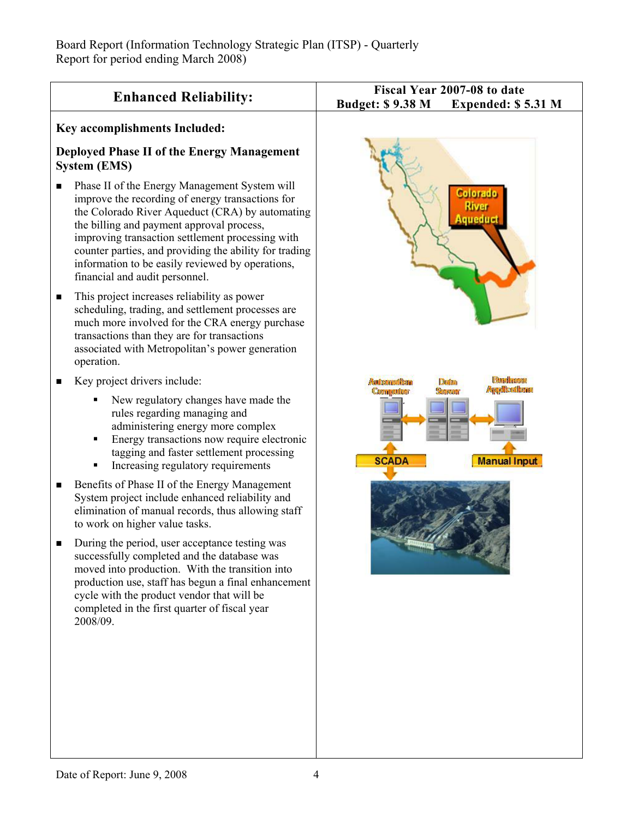|                                                                                                                                                                                                                                                                                                                                                                                                            | Fiscal Year 2007-08 to date     |                             |  |  |
|------------------------------------------------------------------------------------------------------------------------------------------------------------------------------------------------------------------------------------------------------------------------------------------------------------------------------------------------------------------------------------------------------------|---------------------------------|-----------------------------|--|--|
| <b>Enhanced Reliability:</b>                                                                                                                                                                                                                                                                                                                                                                               | <b>Budget: \$9.38 M</b>         | Expended: \$5.31 M          |  |  |
| Key accomplishments Included:                                                                                                                                                                                                                                                                                                                                                                              |                                 |                             |  |  |
| Deployed Phase II of the Energy Management<br><b>System (EMS)</b>                                                                                                                                                                                                                                                                                                                                          |                                 |                             |  |  |
| Phase II of the Energy Management System will<br>п<br>improve the recording of energy transactions for<br>the Colorado River Aqueduct (CRA) by automating<br>the billing and payment approval process,<br>improving transaction settlement processing with<br>counter parties, and providing the ability for trading<br>information to be easily reviewed by operations,<br>financial and audit personnel. |                                 | Colorado<br>Kiver<br>uedual |  |  |
| This project increases reliability as power<br>п<br>scheduling, trading, and settlement processes are<br>much more involved for the CRA energy purchase<br>transactions than they are for transactions<br>associated with Metropolitan's power generation<br>operation.                                                                                                                                    |                                 |                             |  |  |
| Key project drivers include:<br>п                                                                                                                                                                                                                                                                                                                                                                          | Automation                      | <b>District</b>             |  |  |
| New regulatory changes have made the<br>rules regarding managing and<br>administering energy more complex<br>Energy transactions now require electronic<br>tagging and faster settlement processing<br>Increasing regulatory requirements                                                                                                                                                                  | <b>Computer</b><br><b>SCADA</b> | <b>Manual Input</b>         |  |  |
| Benefits of Phase II of the Energy Management<br>п<br>System project include enhanced reliability and<br>elimination of manual records, thus allowing staff<br>to work on higher value tasks.                                                                                                                                                                                                              |                                 |                             |  |  |
| During the period, user acceptance testing was<br>successfully completed and the database was<br>moved into production. With the transition into<br>production use, staff has begun a final enhancement<br>cycle with the product vendor that will be<br>completed in the first quarter of fiscal year<br>2008/09.                                                                                         |                                 |                             |  |  |
|                                                                                                                                                                                                                                                                                                                                                                                                            |                                 |                             |  |  |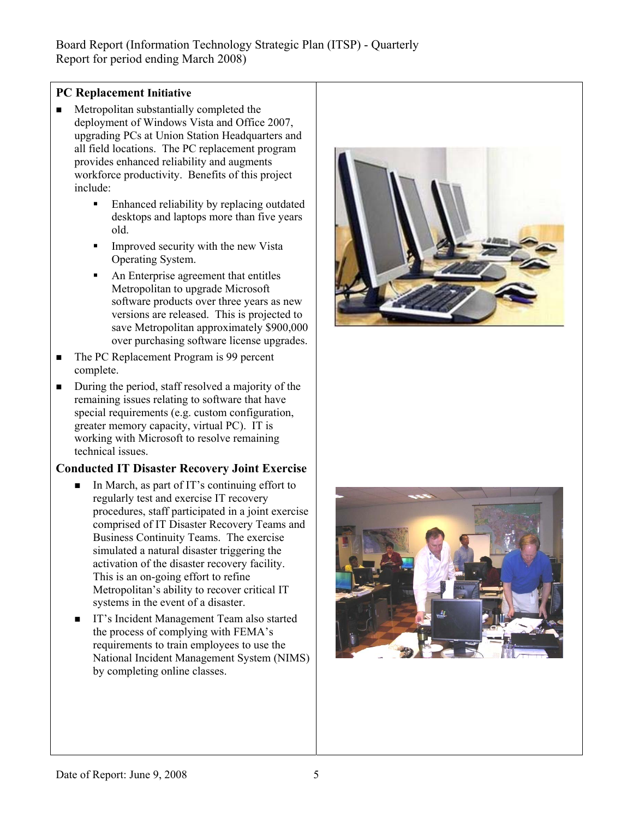# **PC Replacement Initiative**

- Metropolitan substantially completed the deployment of Windows Vista and Office 2007, upgrading PCs at Union Station Headquarters and all field locations. The PC replacement program provides enhanced reliability and augments workforce productivity. Benefits of this project include:
	- Enhanced reliability by replacing outdated desktops and laptops more than five years old.
	- Improved security with the new Vista Operating System.
	- An Enterprise agreement that entitles Metropolitan to upgrade Microsoft software products over three years as new versions are released. This is projected to save Metropolitan approximately \$900,000 over purchasing software license upgrades.
- The PC Replacement Program is 99 percent complete.
- During the period, staff resolved a majority of the remaining issues relating to software that have special requirements (e.g. custom configuration, greater memory capacity, virtual PC). IT is working with Microsoft to resolve remaining technical issues.

# **Conducted IT Disaster Recovery Joint Exercise**

- In March, as part of IT's continuing effort to regularly test and exercise IT recovery procedures, staff participated in a joint exercise comprised of IT Disaster Recovery Teams and Business Continuity Teams. The exercise simulated a natural disaster triggering the activation of the disaster recovery facility. This is an on-going effort to refine Metropolitan's ability to recover critical IT systems in the event of a disaster.
- IT's Incident Management Team also started the process of complying with FEMA's requirements to train employees to use the National Incident Management System (NIMS) by completing online classes.



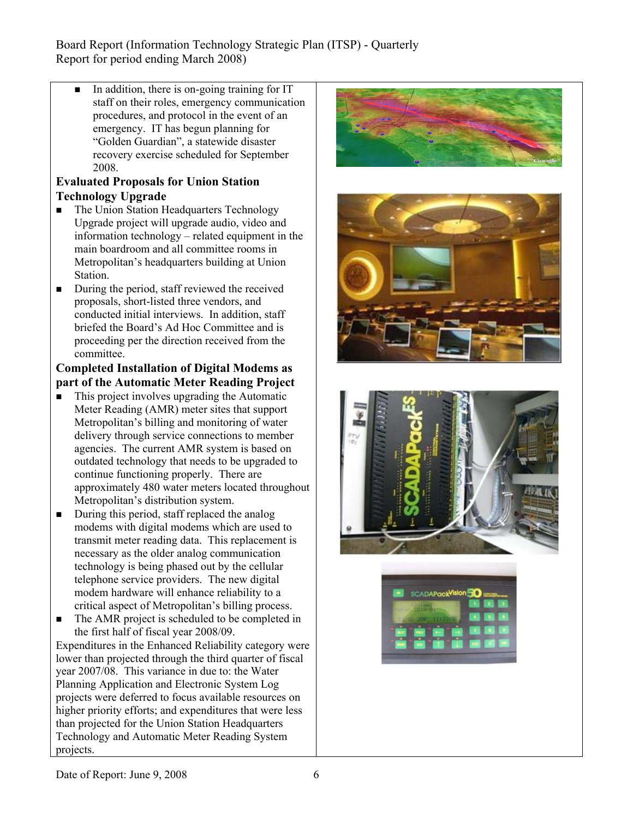In addition, there is on-going training for IT staff on their roles, emergency communication procedures, and protocol in the event of an emergency. IT has begun planning for "Golden Guardian", a statewide disaster recovery exercise scheduled for September 2008.

# **Evaluated Proposals for Union Station Technology Upgrade**

- The Union Station Headquarters Technology Upgrade project will upgrade audio, video and information technology – related equipment in the main boardroom and all committee rooms in Metropolitan's headquarters building at Union Station.
- $\blacksquare$  During the period, staff reviewed the received proposals, short-listed three vendors, and conducted initial interviews. In addition, staff briefed the Board's Ad Hoc Committee and is proceeding per the direction received from the committee.

# **Completed Installation of Digital Modems as part of the Automatic Meter Reading Project**

- $\blacksquare$  This project involves upgrading the Automatic Meter Reading (AMR) meter sites that support Metropolitan's billing and monitoring of water delivery through service connections to member agencies. The current AMR system is based on outdated technology that needs to be upgraded to continue functioning properly. There are approximately 480 water meters located throughout Metropolitan's distribution system.
- $\blacksquare$  During this period, staff replaced the analog modems with digital modems which are used to transmit meter reading data. This replacement is necessary as the older analog communication technology is being phased out by the cellular telephone service providers. The new digital modem hardware will enhance reliability to a critical aspect of Metropolitan's billing process.
- The AMR project is scheduled to be completed in the first half of fiscal year 2008/09.

Expenditures in the Enhanced Reliability category were lower than projected through the third quarter of fiscal year 2007/08. This variance in due to: the Water Planning Application and Electronic System Log projects were deferred to focus available resources on higher priority efforts; and expenditures that were less than projected for the Union Station Headquarters Technology and Automatic Meter Reading System projects.







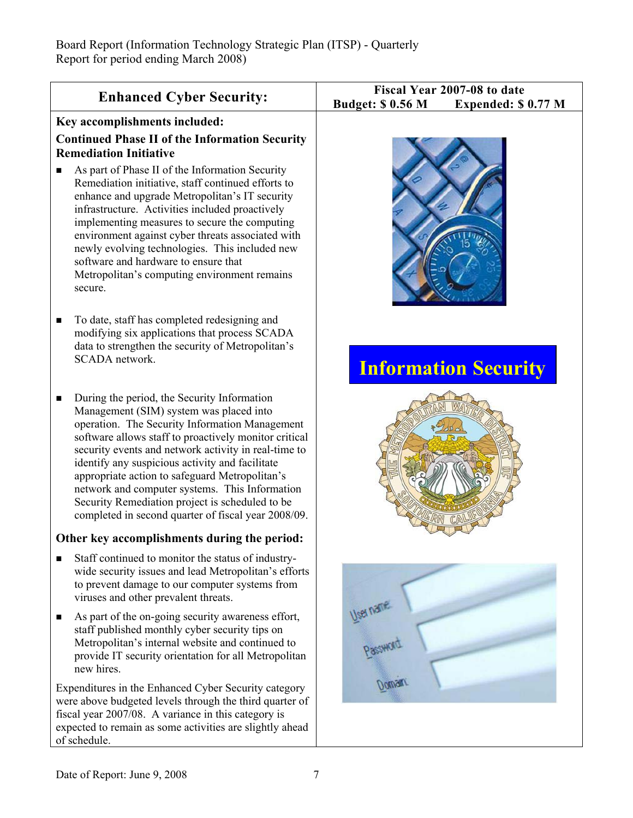| <b>Enhanced Cyber Security:</b>                                                                                                                                                                                                                                                                                                                                                                                                                                                                                                 | Fiscal Year 2007-08 to date<br><b>Budget: \$ 0.56 M</b><br>Expended: \$0.77 M |
|---------------------------------------------------------------------------------------------------------------------------------------------------------------------------------------------------------------------------------------------------------------------------------------------------------------------------------------------------------------------------------------------------------------------------------------------------------------------------------------------------------------------------------|-------------------------------------------------------------------------------|
| Key accomplishments included:                                                                                                                                                                                                                                                                                                                                                                                                                                                                                                   |                                                                               |
| <b>Continued Phase II of the Information Security</b><br><b>Remediation Initiative</b>                                                                                                                                                                                                                                                                                                                                                                                                                                          |                                                                               |
| As part of Phase II of the Information Security<br>■<br>Remediation initiative, staff continued efforts to<br>enhance and upgrade Metropolitan's IT security<br>infrastructure. Activities included proactively<br>implementing measures to secure the computing<br>environment against cyber threats associated with<br>newly evolving technologies. This included new<br>software and hardware to ensure that<br>Metropolitan's computing environment remains<br>secure.                                                      |                                                                               |
| To date, staff has completed redesigning and<br>п<br>modifying six applications that process SCADA<br>data to strengthen the security of Metropolitan's<br>SCADA network.                                                                                                                                                                                                                                                                                                                                                       | <b>Information Security</b>                                                   |
| During the period, the Security Information<br>п<br>Management (SIM) system was placed into<br>operation. The Security Information Management<br>software allows staff to proactively monitor critical<br>security events and network activity in real-time to<br>identify any suspicious activity and facilitate<br>appropriate action to safeguard Metropolitan's<br>network and computer systems. This Information<br>Security Remediation project is scheduled to be<br>completed in second quarter of fiscal year 2008/09. |                                                                               |
| Other key accomplishments during the period:                                                                                                                                                                                                                                                                                                                                                                                                                                                                                    |                                                                               |
| Staff continued to monitor the status of industry-<br>wide security issues and lead Metropolitan's efforts<br>to prevent damage to our computer systems from<br>viruses and other prevalent threats.                                                                                                                                                                                                                                                                                                                            |                                                                               |
| As part of the on-going security awareness effort,<br>п<br>staff published monthly cyber security tips on<br>Metropolitan's internal website and continued to<br>provide IT security orientation for all Metropolitan<br>new hires.                                                                                                                                                                                                                                                                                             | Passwort                                                                      |
| Expenditures in the Enhanced Cyber Security category<br>were above budgeted levels through the third quarter of<br>fiscal year 2007/08. A variance in this category is<br>expected to remain as some activities are slightly ahead<br>of schedule.                                                                                                                                                                                                                                                                              |                                                                               |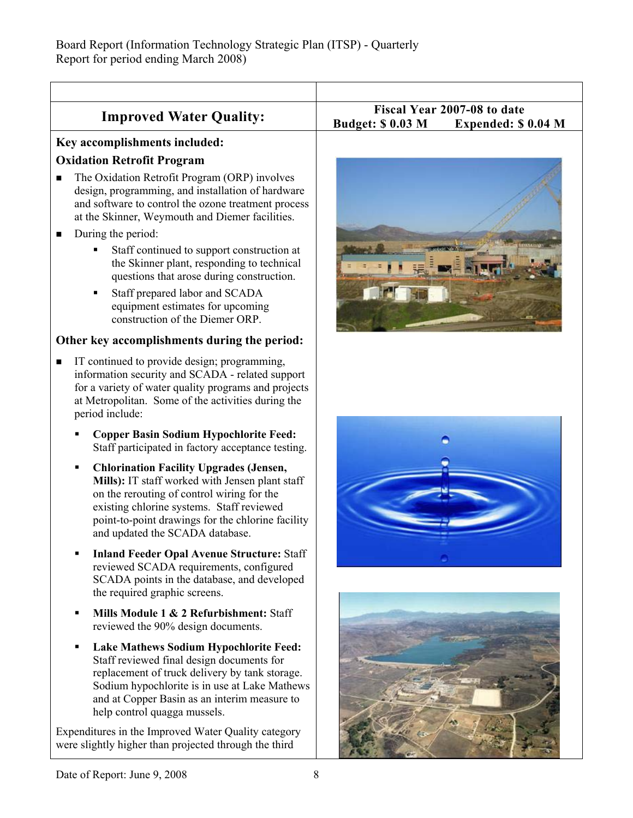| <b>Improved Water Quality:</b>                                                                                                                                                                                                                                                            | Fiscal Year 2007-08 to date<br><b>Budget: \$ 0.03 M</b><br>Expended: \$0.04 M |
|-------------------------------------------------------------------------------------------------------------------------------------------------------------------------------------------------------------------------------------------------------------------------------------------|-------------------------------------------------------------------------------|
| Key accomplishments included:                                                                                                                                                                                                                                                             |                                                                               |
| <b>Oxidation Retrofit Program</b>                                                                                                                                                                                                                                                         |                                                                               |
| The Oxidation Retrofit Program (ORP) involves<br>$\blacksquare$<br>design, programming, and installation of hardware<br>and software to control the ozone treatment process<br>at the Skinner, Weymouth and Diemer facilities.                                                            |                                                                               |
| During the period:<br>п                                                                                                                                                                                                                                                                   |                                                                               |
| Staff continued to support construction at<br>the Skinner plant, responding to technical<br>questions that arose during construction.                                                                                                                                                     |                                                                               |
| Staff prepared labor and SCADA<br>Б<br>equipment estimates for upcoming<br>construction of the Diemer ORP.                                                                                                                                                                                |                                                                               |
| Other key accomplishments during the period:                                                                                                                                                                                                                                              |                                                                               |
| IT continued to provide design; programming,<br>$\blacksquare$<br>information security and SCADA - related support<br>for a variety of water quality programs and projects<br>at Metropolitan. Some of the activities during the<br>period include:                                       |                                                                               |
| <b>Copper Basin Sodium Hypochlorite Feed:</b><br>Staff participated in factory acceptance testing.                                                                                                                                                                                        |                                                                               |
| <b>Chlorination Facility Upgrades (Jensen,</b><br>п<br>Mills): IT staff worked with Jensen plant staff<br>on the rerouting of control wiring for the<br>existing chlorine systems. Staff reviewed<br>point-to-point drawings for the chlorine facility<br>and updated the SCADA database. |                                                                               |
| <b>Inland Feeder Opal Avenue Structure: Staff</b><br>reviewed SCADA requirements, configured<br>SCADA points in the database, and developed<br>the required graphic screens.                                                                                                              |                                                                               |
| Mills Module 1 & 2 Refurbishment: Staff<br>reviewed the 90% design documents.                                                                                                                                                                                                             |                                                                               |
| <b>Lake Mathews Sodium Hypochlorite Feed:</b><br>Staff reviewed final design documents for<br>replacement of truck delivery by tank storage.<br>Sodium hypochlorite is in use at Lake Mathews<br>and at Copper Basin as an interim measure to<br>help control quagga mussels.             |                                                                               |
| Expenditures in the Improved Water Quality category<br>were slightly higher than projected through the third                                                                                                                                                                              |                                                                               |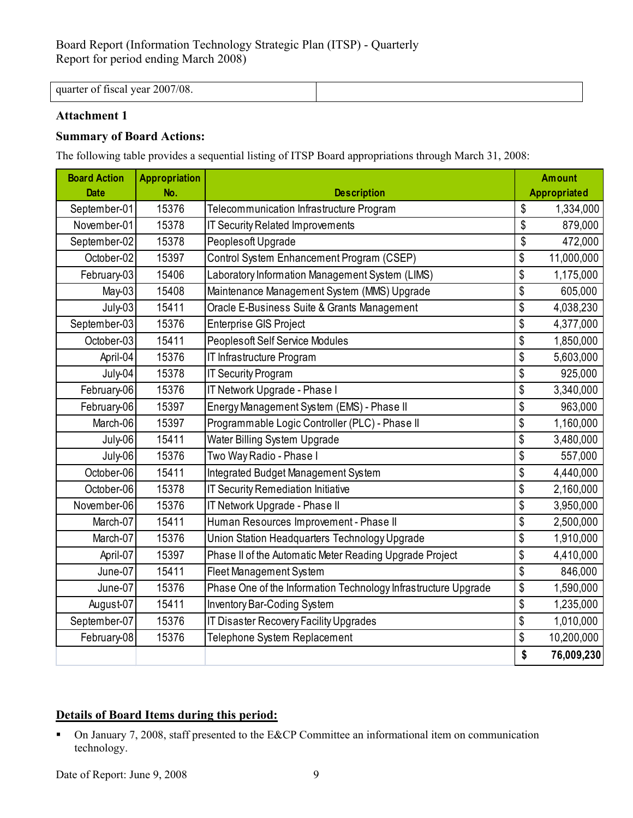quarter of fiscal year 2007/08.

# **Attachment 1**

## **Summary of Board Actions:**

The following table provides a sequential listing of ITSP Board appropriations through March 31, 2008:

| <b>Board Action</b> | <b>Appropriation</b> |                                                                |    | <b>Amount</b>       |  |
|---------------------|----------------------|----------------------------------------------------------------|----|---------------------|--|
| <b>Date</b>         | No.                  | <b>Description</b>                                             |    | <b>Appropriated</b> |  |
| September-01        | 15376                | Telecommunication Infrastructure Program                       | \$ | 1,334,000           |  |
| November-01         | 15378                | IT Security Related Improvements                               | \$ | 879,000             |  |
| September-02        | 15378                | Peoples oft Upgrade                                            | \$ | 472,000             |  |
| October-02          | 15397                | Control System Enhancement Program (CSEP)                      | \$ | 11,000,000          |  |
| February-03         | 15406                | Laboratory Information Management System (LIMS)                | \$ | 1,175,000           |  |
| May-03              | 15408                | Maintenance Management System (MMS) Upgrade                    | \$ | 605,000             |  |
| July-03             | 15411                | Oracle E-Business Suite & Grants Management                    | \$ | 4,038,230           |  |
| September-03        | 15376                | <b>Enterprise GIS Project</b>                                  | \$ | 4,377,000           |  |
| October-03          | 15411                | <b>Peoplesoft Self Service Modules</b>                         | \$ | 1,850,000           |  |
| April-04            | 15376                | IT Infrastructure Program                                      | \$ | 5,603,000           |  |
| July-04             | 15378                | <b>IT Security Program</b>                                     | \$ | 925,000             |  |
| February-06         | 15376                | IT Network Upgrade - Phase I                                   | \$ | 3,340,000           |  |
| February-06         | 15397                | Energy Management System (EMS) - Phase II                      | \$ | 963,000             |  |
| March-06            | 15397                | Programmable Logic Controller (PLC) - Phase II                 | \$ | 1,160,000           |  |
| July-06             | 15411                | Water Billing System Upgrade                                   | \$ | 3,480,000           |  |
| July-06             | 15376                | Two Way Radio - Phase I                                        | \$ | 557,000             |  |
| October-06          | 15411                | Integrated Budget Management System                            | \$ | 4,440,000           |  |
| October-06          | 15378                | <b>IT Security Remediation Initiative</b>                      | \$ | 2,160,000           |  |
| November-06         | 15376                | IT Network Upgrade - Phase II                                  | \$ | 3,950,000           |  |
| March-07            | 15411                | Human Resources Improvement - Phase II                         | \$ | 2,500,000           |  |
| March-07            | 15376                | Union Station Headquarters Technology Upgrade                  | \$ | 1,910,000           |  |
| April-07            | 15397                | Phase II of the Automatic Meter Reading Upgrade Project        | \$ | 4,410,000           |  |
| June-07             | 15411                | <b>Fleet Management System</b>                                 | \$ | 846,000             |  |
| June-07             | 15376                | Phase One of the Information Technology Infrastructure Upgrade | \$ | 1,590,000           |  |
| August-07           | 15411                | <b>Inventory Bar-Coding System</b>                             | \$ | 1,235,000           |  |
| September-07        | 15376                | IT Disaster Recovery Facility Upgrades                         | \$ | 1,010,000           |  |
| February-08         | 15376                | Telephone System Replacement                                   | \$ | 10,200,000          |  |
|                     |                      |                                                                | \$ | 76,009,230          |  |

# **Details of Board Items during this period:**

 On January 7, 2008, staff presented to the E&CP Committee an informational item on communication technology.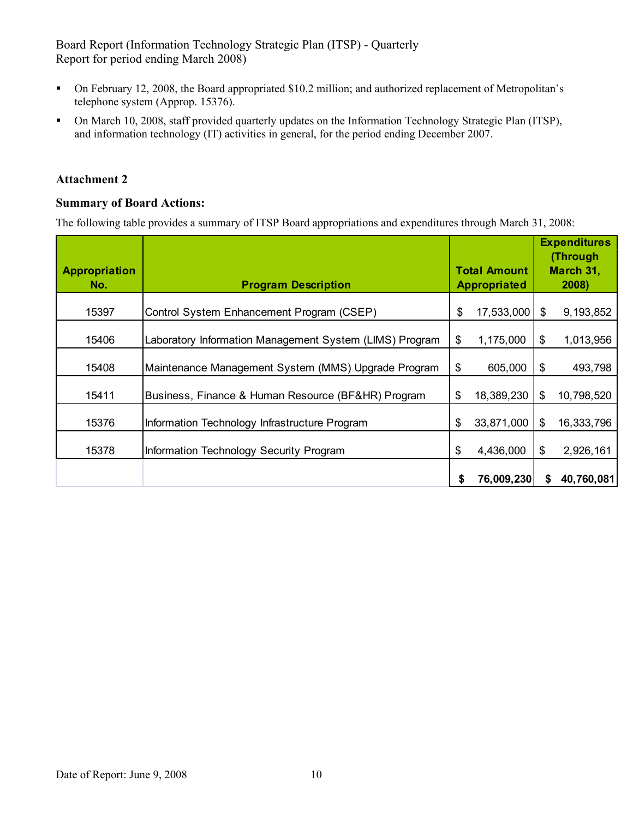- On February 12, 2008, the Board appropriated \$10.2 million; and authorized replacement of Metropolitan's telephone system (Approp. 15376).
- On March 10, 2008, staff provided quarterly updates on the Information Technology Strategic Plan (ITSP), and information technology (IT) activities in general, for the period ending December 2007.

### **Attachment 2**

## **Summary of Board Actions:**

The following table provides a summary of ITSP Board appropriations and expenditures through March 31, 2008:

|                             |                                                         |                                            |            |                    | <b>Expenditures</b><br>(Through |
|-----------------------------|---------------------------------------------------------|--------------------------------------------|------------|--------------------|---------------------------------|
| <b>Appropriation</b><br>No. | <b>Program Description</b>                              | <b>Total Amount</b><br><b>Appropriated</b> |            | March 31,<br>2008) |                                 |
| 15397                       | Control System Enhancement Program (CSEP)               | \$                                         | 17,533,000 | \$                 | 9,193,852                       |
| 15406                       | Laboratory Information Management System (LIMS) Program | \$                                         | 1,175,000  | S                  | 1,013,956                       |
| 15408                       | Maintenance Management System (MMS) Upgrade Program     | \$                                         | 605,000    | S                  | 493,798                         |
| 15411                       | Business, Finance & Human Resource (BF&HR) Program      | \$                                         | 18,389,230 | \$                 | 10,798,520                      |
| 15376                       | Information Technology Infrastructure Program           | \$                                         | 33,871,000 | \$                 | 16,333,796                      |
| 15378                       | Information Technology Security Program                 | \$                                         | 4,436,000  | \$                 | 2,926,161                       |
|                             |                                                         | \$                                         | 76,009,230 | S                  | 40,760,081                      |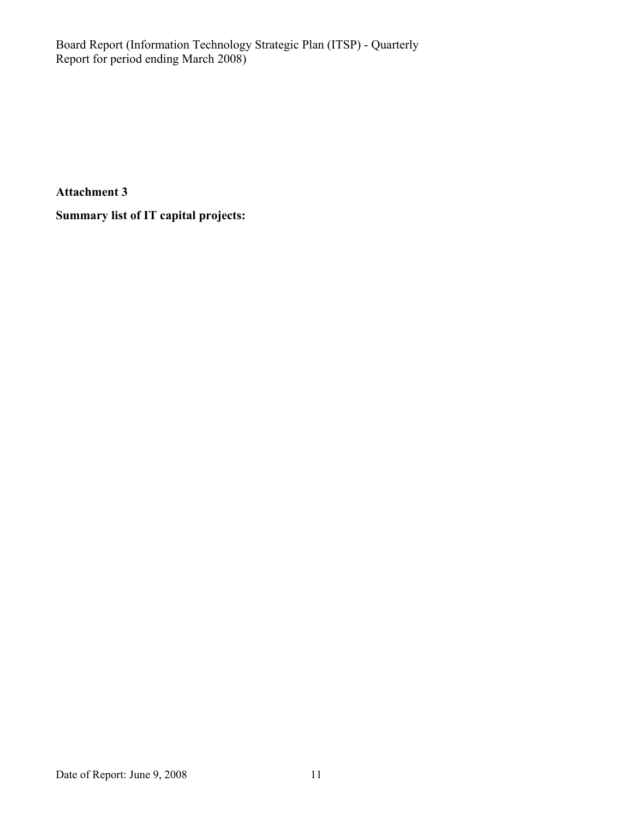**Attachment 3** 

**Summary list of IT capital projects:**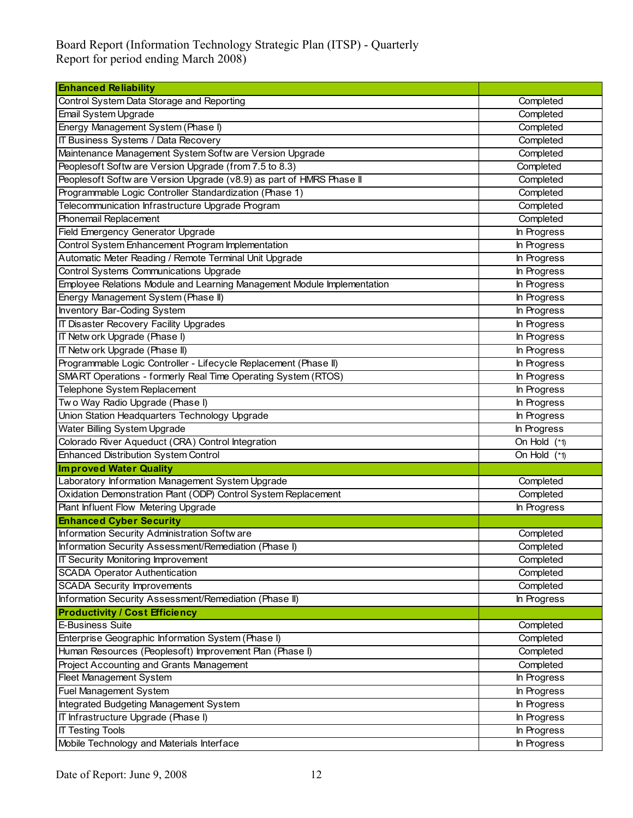| <b>Enhanced Reliability</b>                                             |                |  |  |  |
|-------------------------------------------------------------------------|----------------|--|--|--|
| Control System Data Storage and Reporting                               | Completed      |  |  |  |
| Email System Upgrade                                                    | Completed      |  |  |  |
| Energy Management System (Phase I)                                      | Completed      |  |  |  |
| IT Business Systems / Data Recovery                                     | Completed      |  |  |  |
| Maintenance Management System Softw are Version Upgrade                 | Completed      |  |  |  |
| Peoplesoft Softw are Version Upgrade (from 7.5 to 8.3)                  | Completed      |  |  |  |
| Peoplesoft Softw are Version Upgrade (v8.9) as part of HMRS Phase II    | Completed      |  |  |  |
| Programmable Logic Controller Standardization (Phase 1)                 | Completed      |  |  |  |
| Telecommunication Infrastructure Upgrade Program                        | Completed      |  |  |  |
| Phonemail Replacement                                                   | Completed      |  |  |  |
| Field Emergency Generator Upgrade                                       | In Progress    |  |  |  |
| Control System Enhancement Program Implementation                       | In Progress    |  |  |  |
| Automatic Meter Reading / Remote Terminal Unit Upgrade                  | In Progress    |  |  |  |
| Control Systems Communications Upgrade                                  | In Progress    |  |  |  |
| Employee Relations Module and Learning Management Module Implementation | In Progress    |  |  |  |
| Energy Management System (Phase II)                                     | In Progress    |  |  |  |
| Inventory Bar-Coding System                                             | In Progress    |  |  |  |
| IT Disaster Recovery Facility Upgrades                                  | In Progress    |  |  |  |
| IT Netw ork Upgrade (Phase I)                                           | In Progress    |  |  |  |
| IT Netw ork Upgrade (Phase II)                                          | In Progress    |  |  |  |
| Programmable Logic Controller - Lifecycle Replacement (Phase II)        | In Progress    |  |  |  |
| SMART Operations - formerly Real Time Operating System (RTOS)           | In Progress    |  |  |  |
| Telephone System Replacement                                            | In Progress    |  |  |  |
| Two Way Radio Upgrade (Phase I)                                         | In Progress    |  |  |  |
| Union Station Headquarters Technology Upgrade                           | In Progress    |  |  |  |
| Water Billing System Upgrade                                            | In Progress    |  |  |  |
| Colorado River Aqueduct (CRA) Control Integration                       | On Hold $(*1)$ |  |  |  |
| <b>Enhanced Distribution System Control</b>                             | On Hold $(*1)$ |  |  |  |
| <b>Improved Water Quality</b>                                           |                |  |  |  |
| Laboratory Information Management System Upgrade                        | Completed      |  |  |  |
| Oxidation Demonstration Plant (ODP) Control System Replacement          | Completed      |  |  |  |
| Plant Influent Flow Metering Upgrade                                    | In Progress    |  |  |  |
| <b>Enhanced Cyber Security</b>                                          |                |  |  |  |
| Information Security Administration Software                            | Completed      |  |  |  |
| Information Security Assessment/Remediation (Phase I)                   | Completed      |  |  |  |
| IT Security Monitoring Improvement                                      | Completed      |  |  |  |
| <b>SCADA Operator Authentication</b>                                    | Completed      |  |  |  |
| <b>SCADA Security Improvements</b>                                      | Completed      |  |  |  |
| Information Security Assessment/Remediation (Phase II)                  | In Progress    |  |  |  |
| <b>Productivity / Cost Efficiency</b>                                   |                |  |  |  |
| E-Business Suite                                                        | Completed      |  |  |  |
| Enterprise Geographic Information System (Phase I)                      | Completed      |  |  |  |
| Human Resources (Peoplesoft) Improvement Plan (Phase I)                 | Completed      |  |  |  |
| Project Accounting and Grants Management                                | Completed      |  |  |  |
| Fleet Management System                                                 | In Progress    |  |  |  |
| Fuel Management System                                                  | In Progress    |  |  |  |
| Integrated Budgeting Management System                                  | In Progress    |  |  |  |
| IT Infrastructure Upgrade (Phase I)                                     | In Progress    |  |  |  |
| <b>IT Testing Tools</b>                                                 | In Progress    |  |  |  |
| Mobile Technology and Materials Interface                               | In Progress    |  |  |  |
|                                                                         |                |  |  |  |